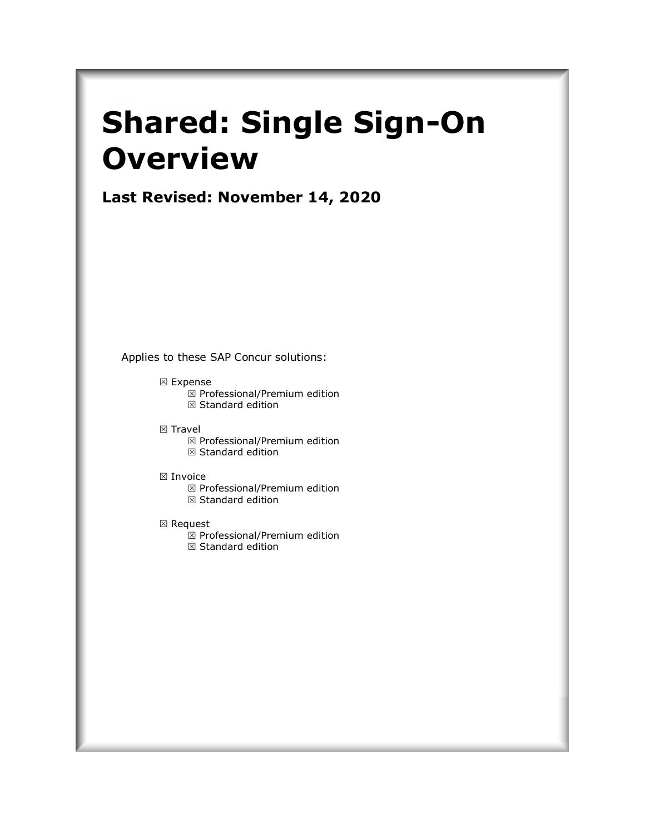# **Shared: Single Sign-On Overview**

**Last Revised: November 14, 2020**

Applies to these SAP Concur solutions:

- Expense
	- $\boxtimes$  Professional/Premium edition  $\boxtimes$  Standard edition
- $\boxtimes$  Travel

 $\boxtimes$  Professional/Premium edition  $\boxtimes$  Standard edition

⊠ Invoice

 $\boxtimes$  Professional/Premium edition  $\boxtimes$  Standard edition

⊠ Request

 $\overline{\boxtimes}$  Professional/Premium edition  $\boxtimes$  Standard edition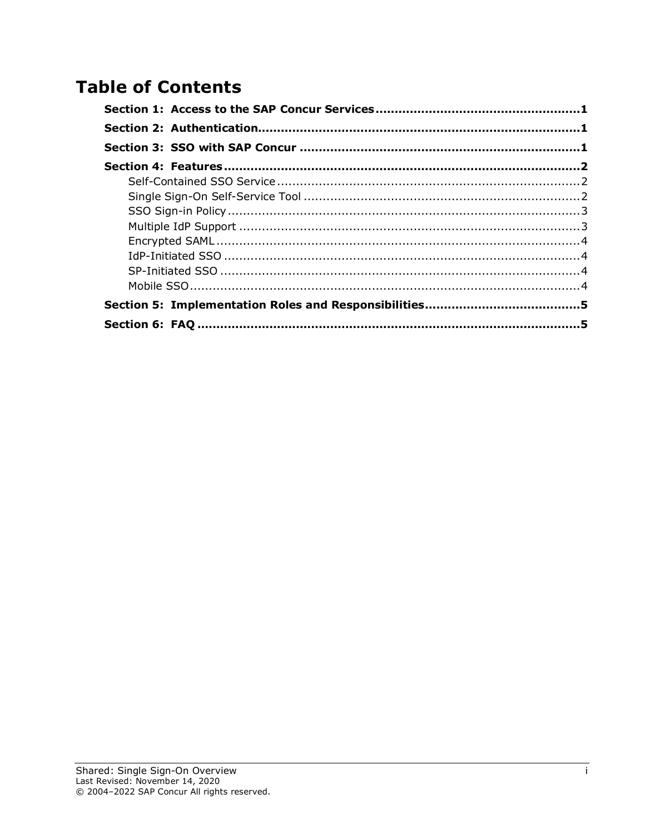# **Table of Contents**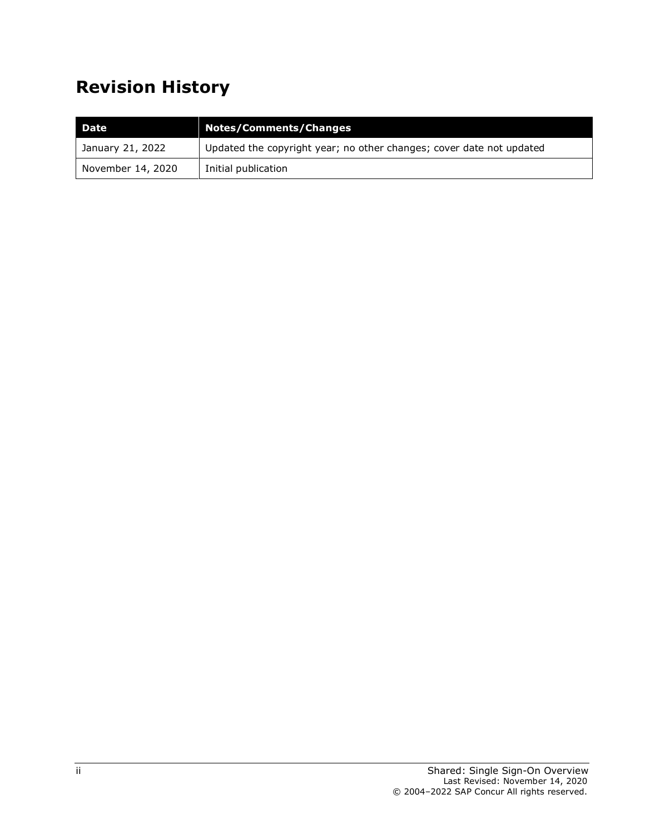# **Revision History**

| l Date            | <b>Notes/Comments/Changes</b>                                        |
|-------------------|----------------------------------------------------------------------|
| January 21, 2022  | Updated the copyright year; no other changes; cover date not updated |
| November 14, 2020 | Initial publication                                                  |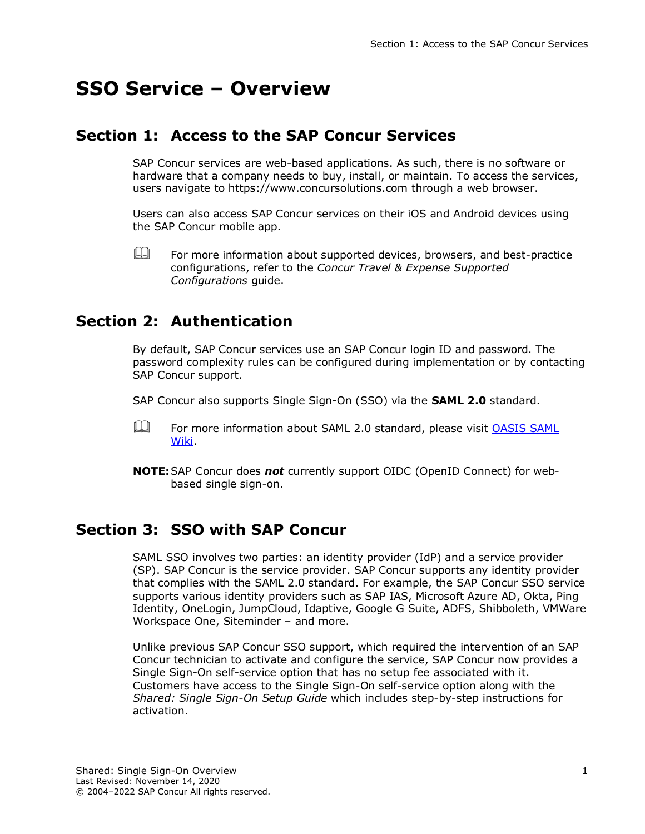# **SSO Service – Overview**

# **Section 1: Access to the SAP Concur Services**

<span id="page-4-0"></span>SAP Concur services are web-based applications. As such, there is no software or hardware that a company needs to buy, install, or maintain. To access the services, users navigate to [https://www.concursolutions.com](https://www.concursolutions.com/) through a web browser.

Users can also access SAP Concur services on their iOS and Android devices using the SAP Concur mobile app.

<span id="page-4-1"></span> $\mathbb{H}$  For more information about supported devices, browsers, and best-practice configurations, refer to the *Concur Travel & Expense Supported Configurations* guide.

## **Section 2: Authentication**

By default, SAP Concur services use an SAP Concur login ID and password. The password complexity rules can be configured during implementation or by contacting SAP Concur support.

SAP Concur also supports Single Sign-On (SSO) via the **SAML 2.0** standard.

For more information about SAML 2.0 standard, please visit OASIS SAML [Wiki.](https://wiki.oasis-open.org/security/FrontPage)

<span id="page-4-2"></span>**NOTE:**SAP Concur does *not* currently support OIDC (OpenID Connect) for webbased single sign-on.

### **Section 3: SSO with SAP Concur**

SAML SSO involves two parties: an identity provider (IdP) and a service provider (SP). SAP Concur is the service provider. SAP Concur supports any identity provider that complies with the SAML 2.0 standard. For example, the SAP Concur SSO service supports various identity providers such as SAP IAS, Microsoft Azure AD, Okta, Ping Identity, OneLogin, JumpCloud, Idaptive, Google G Suite, ADFS, Shibboleth, VMWare Workspace One, Siteminder – and more.

Unlike previous SAP Concur SSO support, which required the intervention of an SAP Concur technician to activate and configure the service, SAP Concur now provides a Single Sign-On self-service option that has no setup fee associated with it. Customers have access to the Single Sign-On self-service option along with the *Shared: Single Sign-On Setup Guide* which includes step-by-step instructions for activation.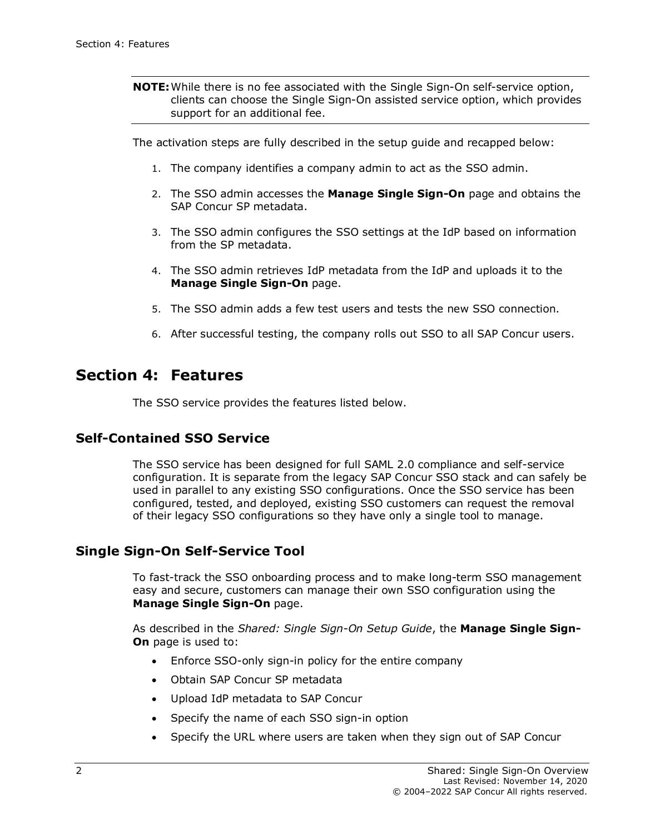**NOTE:**While there is no fee associated with the Single Sign-On self-service option, clients can choose the Single Sign-On assisted service option, which provides support for an additional fee.

The activation steps are fully described in the setup guide and recapped below:

- 1. The company identifies a company admin to act as the SSO admin.
- 2. The SSO admin accesses the **Manage Single Sign-On** page and obtains the SAP Concur SP metadata.
- 3. The SSO admin configures the SSO settings at the IdP based on information from the SP metadata.
- 4. The SSO admin retrieves IdP metadata from the IdP and uploads it to the **Manage Single Sign-On** page.
- 5. The SSO admin adds a few test users and tests the new SSO connection.
- <span id="page-5-0"></span>6. After successful testing, the company rolls out SSO to all SAP Concur users.

### **Section 4: Features**

The SSO service provides the features listed below.

#### <span id="page-5-1"></span>**Self-Contained SSO Service**

The SSO service has been designed for full SAML 2.0 compliance and self-service configuration. It is separate from the legacy SAP Concur SSO stack and can safely be used in parallel to any existing SSO configurations. Once the SSO service has been configured, tested, and deployed, existing SSO customers can request the removal of their legacy SSO configurations so they have only a single tool to manage.

#### <span id="page-5-2"></span>**Single Sign-On Self-Service Tool**

To fast-track the SSO onboarding process and to make long-term SSO management easy and secure, customers can manage their own SSO configuration using the **Manage Single Sign-On** page.

As described in the *Shared: Single Sign-On Setup Guide*, the **Manage Single Sign-On** page is used to:

- Enforce SSO-only sign-in policy for the entire company
- Obtain SAP Concur SP metadata
- Upload IdP metadata to SAP Concur
- Specify the name of each SSO sign-in option
- Specify the URL where users are taken when they sign out of SAP Concur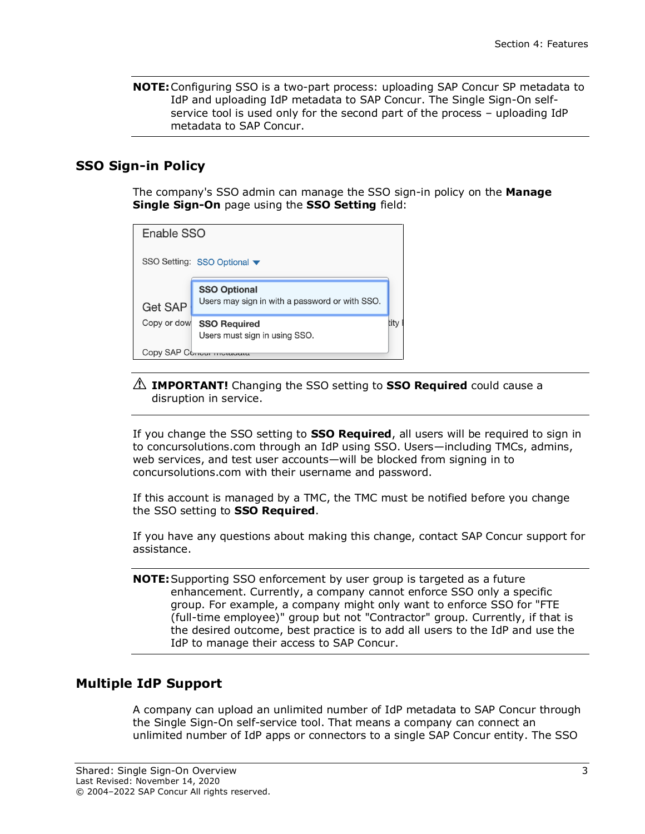**NOTE:**Configuring SSO is a two-part process: uploading SAP Concur SP metadata to IdP and uploading IdP metadata to SAP Concur. The Single Sign-On selfservice tool is used only for the second part of the process – uploading IdP metadata to SAP Concur.

#### <span id="page-6-0"></span>**SSO Sign-in Policy**

The company's SSO admin can manage the SSO sign-in policy on the **Manage Single Sign-On** page using the **SSO Setting** field:

| Enable SSO                  |                                                                       |      |  |
|-----------------------------|-----------------------------------------------------------------------|------|--|
| SSO Setting: SSO Optional ▼ |                                                                       |      |  |
| <b>Get SAP</b>              | <b>SSO Optional</b><br>Users may sign in with a password or with SSO. |      |  |
| Copy or dow                 | <b>SSO Required</b><br>Users must sign in using SSO.                  | litv |  |
| Copy SAP C                  |                                                                       |      |  |

#### ! **IMPORTANT!** Changing the SSO setting to **SSO Required** could cause a disruption in service.

If you change the SSO setting to **SSO Required**, all users will be required to sign in to concursolutions.com through an IdP using SSO. Users—including TMCs, admins, web services, and test user accounts—will be blocked from signing in to concursolutions.com with their username and password.

If this account is managed by a TMC, the TMC must be notified before you change the SSO setting to **SSO Required**.

If you have any questions about making this change, contact SAP Concur support for assistance.

**NOTE:**Supporting SSO enforcement by user group is targeted as a future enhancement. Currently, a company cannot enforce SSO only a specific group. For example, a company might only want to enforce SSO for "FTE (full-time employee)" group but not "Contractor" group. Currently, if that is the desired outcome, best practice is to add all users to the IdP and use the IdP to manage their access to SAP Concur.

#### <span id="page-6-1"></span>**Multiple IdP Support**

A company can upload an unlimited number of IdP metadata to SAP Concur through the Single Sign-On self-service tool. That means a company can connect an unlimited number of IdP apps or connectors to a single SAP Concur entity. The SSO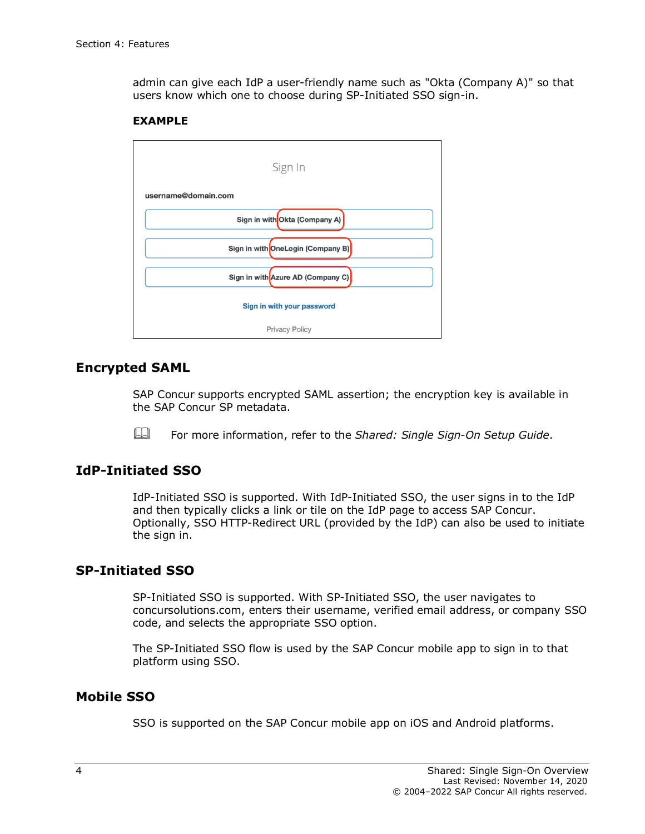admin can give each IdP a user-friendly name such as "Okta (Company A)" so that users know which one to choose during SP-Initiated SSO sign-in.

#### **EXAMPLE**



#### <span id="page-7-0"></span>**Encrypted SAML**

SAP Concur supports encrypted SAML assertion; the encryption key is available in the SAP Concur SP metadata.

For more information, refer to the *Shared: Single Sign-On Setup Guide*.

#### <span id="page-7-1"></span>**IdP-Initiated SSO**

IdP-Initiated SSO is supported. With IdP-Initiated SSO, the user signs in to the IdP and then typically clicks a link or tile on the IdP page to access SAP Concur. Optionally, SSO HTTP-Redirect URL (provided by the IdP) can also be used to initiate the sign in.

#### <span id="page-7-2"></span>**SP-Initiated SSO**

SP-Initiated SSO is supported. With SP-Initiated SSO, the user navigates to concursolutions.com, enters their username, verified email address, or company SSO code, and selects the appropriate SSO option.

The SP-Initiated SSO flow is used by the SAP Concur mobile app to sign in to that platform using SSO.

#### <span id="page-7-3"></span>**Mobile SSO**

SSO is supported on the SAP Concur mobile app on iOS and Android platforms.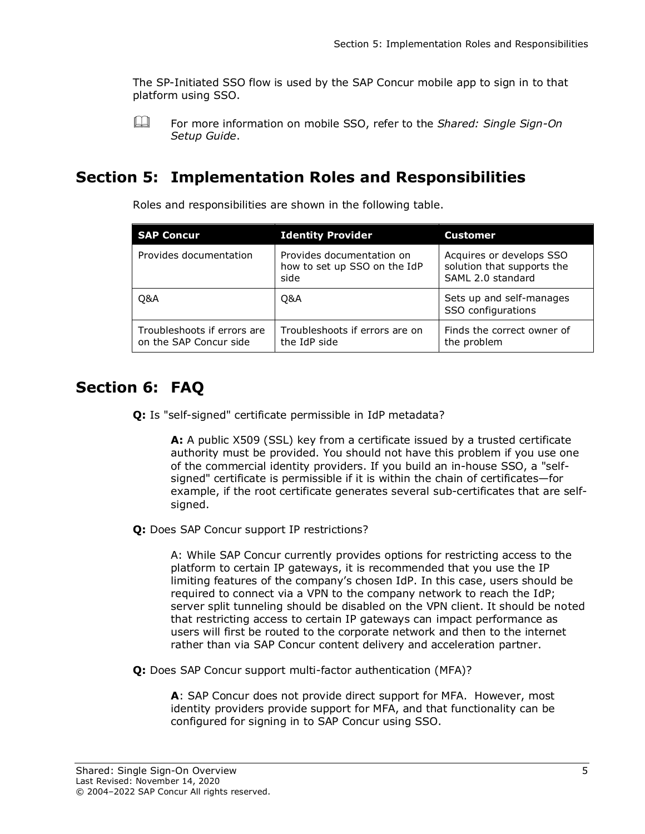The SP-Initiated SSO flow is used by the SAP Concur mobile app to sign in to that platform using SSO.

<span id="page-8-0"></span> For more information on mobile SSO, refer to the *Shared: Single Sign-On Setup Guide*.

## **Section 5: Implementation Roles and Responsibilities**

**SAP Concur Identity Provider Customer** Provides documentation Provides documentation on how to set up SSO on the IdP side Acquires or develops SSO solution that supports the SAML 2.0 standard Q&A Q&A Sets up and self-manages SSO configurations Troubleshoots if errors are on the SAP Concur side Troubleshoots if errors are on the IdP side Finds the correct owner of the problem

Roles and responsibilities are shown in the following table.

# **Section 6: FAQ**

<span id="page-8-1"></span>**Q:** Is "self-signed" certificate permissible in IdP metadata?

**A:** A public X509 (SSL) key from a certificate issued by a trusted certificate authority must be provided. You should not have this problem if you use one of the commercial identity providers. If you build an in-house SSO, a "selfsigned" certificate is permissible if it is within the chain of certificates—for example, if the root certificate generates several sub-certificates that are selfsigned.

**Q:** Does SAP Concur support IP restrictions?

A: While SAP Concur currently provides options for restricting access to the platform to certain IP gateways, it is recommended that you use the IP limiting features of the company's chosen IdP. In this case, users should be required to connect via a VPN to the company network to reach the IdP; server split tunneling should be disabled on the VPN client. It should be noted that restricting access to certain IP gateways can impact performance as users will first be routed to the corporate network and then to the internet rather than via SAP Concur content delivery and acceleration partner.

**Q:** Does SAP Concur support multi-factor authentication (MFA)?

**A**: SAP Concur does not provide direct support for MFA. However, most identity providers provide support for MFA, and that functionality can be configured for signing in to SAP Concur using SSO.